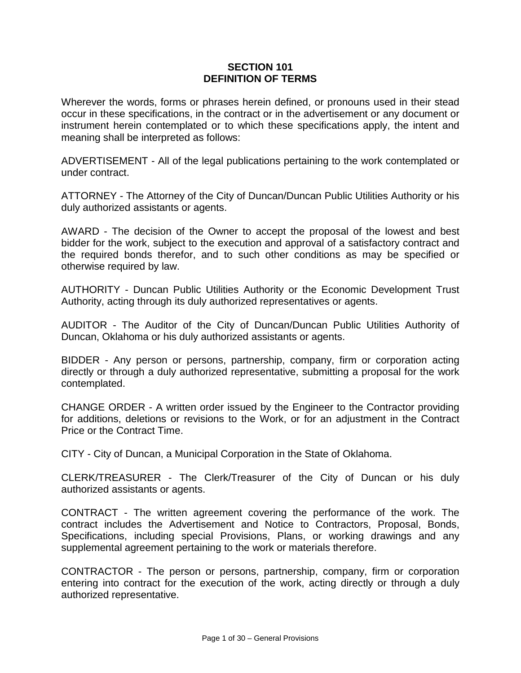#### **SECTION 101 DEFINITION OF TERMS**

Wherever the words, forms or phrases herein defined, or pronouns used in their stead occur in these specifications, in the contract or in the advertisement or any document or instrument herein contemplated or to which these specifications apply, the intent and meaning shall be interpreted as follows:

ADVERTISEMENT - All of the legal publications pertaining to the work contemplated or under contract.

ATTORNEY - The Attorney of the City of Duncan/Duncan Public Utilities Authority or his duly authorized assistants or agents.

AWARD - The decision of the Owner to accept the proposal of the lowest and best bidder for the work, subject to the execution and approval of a satisfactory contract and the required bonds therefor, and to such other conditions as may be specified or otherwise required by law.

AUTHORITY - Duncan Public Utilities Authority or the Economic Development Trust Authority, acting through its duly authorized representatives or agents.

AUDITOR - The Auditor of the City of Duncan/Duncan Public Utilities Authority of Duncan, Oklahoma or his duly authorized assistants or agents.

BIDDER - Any person or persons, partnership, company, firm or corporation acting directly or through a duly authorized representative, submitting a proposal for the work contemplated.

CHANGE ORDER - A written order issued by the Engineer to the Contractor providing for additions, deletions or revisions to the Work, or for an adjustment in the Contract Price or the Contract Time.

CITY - City of Duncan, a Municipal Corporation in the State of Oklahoma.

CLERK/TREASURER - The Clerk/Treasurer of the City of Duncan or his duly authorized assistants or agents.

CONTRACT - The written agreement covering the performance of the work. The contract includes the Advertisement and Notice to Contractors, Proposal, Bonds, Specifications, including special Provisions, Plans, or working drawings and any supplemental agreement pertaining to the work or materials therefore.

CONTRACTOR - The person or persons, partnership, company, firm or corporation entering into contract for the execution of the work, acting directly or through a duly authorized representative.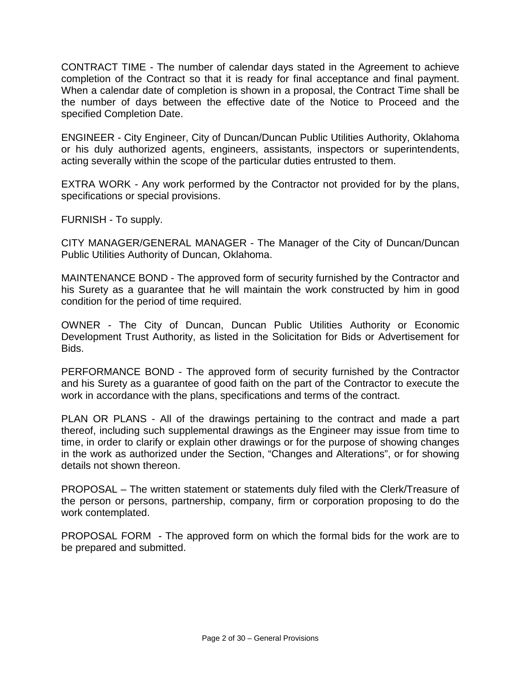CONTRACT TIME - The number of calendar days stated in the Agreement to achieve completion of the Contract so that it is ready for final acceptance and final payment. When a calendar date of completion is shown in a proposal, the Contract Time shall be the number of days between the effective date of the Notice to Proceed and the specified Completion Date.

ENGINEER - City Engineer, City of Duncan/Duncan Public Utilities Authority, Oklahoma or his duly authorized agents, engineers, assistants, inspectors or superintendents, acting severally within the scope of the particular duties entrusted to them.

EXTRA WORK - Any work performed by the Contractor not provided for by the plans, specifications or special provisions.

FURNISH - To supply.

CITY MANAGER/GENERAL MANAGER - The Manager of the City of Duncan/Duncan Public Utilities Authority of Duncan, Oklahoma.

MAINTENANCE BOND - The approved form of security furnished by the Contractor and his Surety as a guarantee that he will maintain the work constructed by him in good condition for the period of time required.

OWNER - The City of Duncan, Duncan Public Utilities Authority or Economic Development Trust Authority, as listed in the Solicitation for Bids or Advertisement for Bids.

PERFORMANCE BOND - The approved form of security furnished by the Contractor and his Surety as a guarantee of good faith on the part of the Contractor to execute the work in accordance with the plans, specifications and terms of the contract.

PLAN OR PLANS - All of the drawings pertaining to the contract and made a part thereof, including such supplemental drawings as the Engineer may issue from time to time, in order to clarify or explain other drawings or for the purpose of showing changes in the work as authorized under the Section, "Changes and Alterations", or for showing details not shown thereon.

PROPOSAL – The written statement or statements duly filed with the Clerk/Treasure of the person or persons, partnership, company, firm or corporation proposing to do the work contemplated.

PROPOSAL FORM - The approved form on which the formal bids for the work are to be prepared and submitted.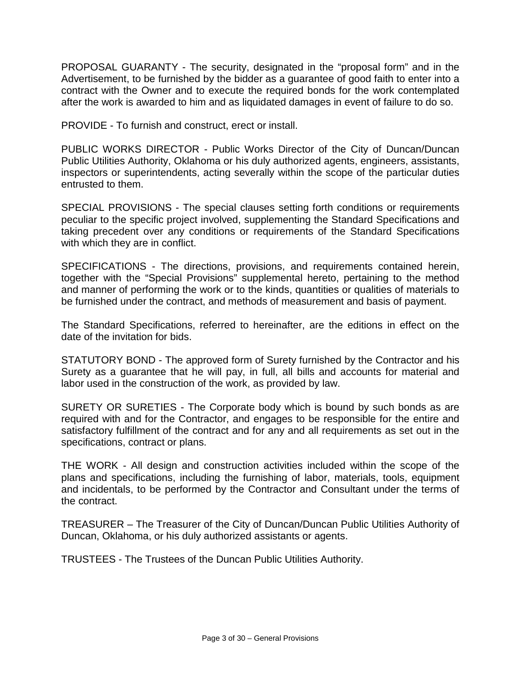PROPOSAL GUARANTY - The security, designated in the "proposal form" and in the Advertisement, to be furnished by the bidder as a guarantee of good faith to enter into a contract with the Owner and to execute the required bonds for the work contemplated after the work is awarded to him and as liquidated damages in event of failure to do so.

PROVIDE - To furnish and construct, erect or install.

PUBLIC WORKS DIRECTOR - Public Works Director of the City of Duncan/Duncan Public Utilities Authority, Oklahoma or his duly authorized agents, engineers, assistants, inspectors or superintendents, acting severally within the scope of the particular duties entrusted to them.

SPECIAL PROVISIONS - The special clauses setting forth conditions or requirements peculiar to the specific project involved, supplementing the Standard Specifications and taking precedent over any conditions or requirements of the Standard Specifications with which they are in conflict.

SPECIFICATIONS - The directions, provisions, and requirements contained herein, together with the "Special Provisions" supplemental hereto, pertaining to the method and manner of performing the work or to the kinds, quantities or qualities of materials to be furnished under the contract, and methods of measurement and basis of payment.

The Standard Specifications, referred to hereinafter, are the editions in effect on the date of the invitation for bids.

STATUTORY BOND - The approved form of Surety furnished by the Contractor and his Surety as a guarantee that he will pay, in full, all bills and accounts for material and labor used in the construction of the work, as provided by law.

SURETY OR SURETIES - The Corporate body which is bound by such bonds as are required with and for the Contractor, and engages to be responsible for the entire and satisfactory fulfillment of the contract and for any and all requirements as set out in the specifications, contract or plans.

THE WORK - All design and construction activities included within the scope of the plans and specifications, including the furnishing of labor, materials, tools, equipment and incidentals, to be performed by the Contractor and Consultant under the terms of the contract.

TREASURER – The Treasurer of the City of Duncan/Duncan Public Utilities Authority of Duncan, Oklahoma, or his duly authorized assistants or agents.

TRUSTEES - The Trustees of the Duncan Public Utilities Authority.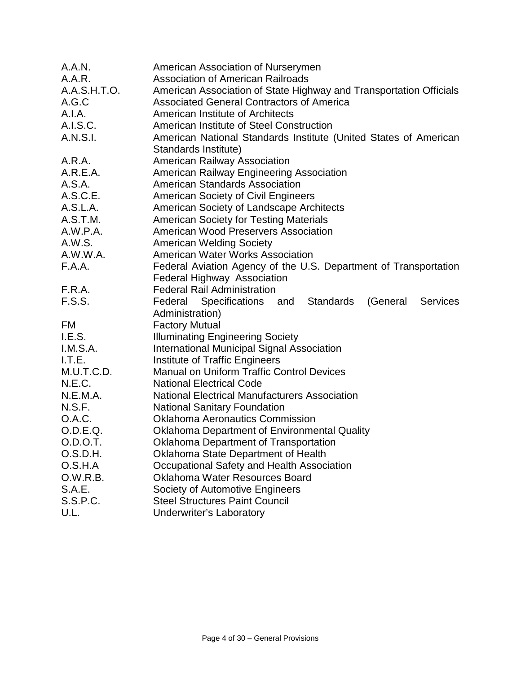| A.A.N.        | American Association of Nurserymen                                               |
|---------------|----------------------------------------------------------------------------------|
| A.A.R.        | <b>Association of American Railroads</b>                                         |
| A.A.S.H.T.O.  | American Association of State Highway and Transportation Officials               |
| A.G.C         | <b>Associated General Contractors of America</b>                                 |
| A.I.A.        | American Institute of Architects                                                 |
| A.I.S.C.      | American Institute of Steel Construction                                         |
| A.N.S.I.      | American National Standards Institute (United States of American                 |
|               | Standards Institute)                                                             |
| A.R.A.        | <b>American Railway Association</b>                                              |
| A.R.E.A.      | American Railway Engineering Association                                         |
| A.S.A.        | <b>American Standards Association</b>                                            |
| A.S.C.E.      | <b>American Society of Civil Engineers</b>                                       |
| A.S.L.A.      | American Society of Landscape Architects                                         |
| A.S.T.M.      | <b>American Society for Testing Materials</b>                                    |
| A.W.P.A.      | American Wood Preservers Association                                             |
| A.W.S.        | <b>American Welding Society</b>                                                  |
| A.W.W.A.      | <b>American Water Works Association</b>                                          |
| F.A.A.        | Federal Aviation Agency of the U.S. Department of Transportation                 |
|               | <b>Federal Highway Association</b>                                               |
| F.R.A.        | <b>Federal Rail Administration</b>                                               |
| F.S.S.        | Specifications and<br><b>Standards</b><br>(General<br><b>Services</b><br>Federal |
|               | Administration)                                                                  |
| FM            | <b>Factory Mutual</b>                                                            |
| I.E.S.        | <b>Illuminating Engineering Society</b>                                          |
| I.M.S.A.      | <b>International Municipal Signal Association</b>                                |
| I.T.E.        | Institute of Traffic Engineers                                                   |
| M.U.T.C.D.    | <b>Manual on Uniform Traffic Control Devices</b>                                 |
| N.E.C.        | <b>National Electrical Code</b>                                                  |
| N.E.M.A.      | <b>National Electrical Manufacturers Association</b>                             |
| N.S.F.        | <b>National Sanitary Foundation</b>                                              |
| O.A.C.        | <b>Oklahoma Aeronautics Commission</b>                                           |
| O.D.E.Q.      | <b>Oklahoma Department of Environmental Quality</b>                              |
| O.D.O.T.      | <b>Oklahoma Department of Transportation</b>                                     |
| O.S.D.H.      | Oklahoma State Department of Health                                              |
| O.S.H.A       | Occupational Safety and Health Association                                       |
| 0.W.R.B.      | Oklahoma Water Resources Board                                                   |
| <b>S.A.E.</b> | Society of Automotive Engineers                                                  |
| S.S.P.C.      | <b>Steel Structures Paint Council</b>                                            |
| U.L.          | <b>Underwriter's Laboratory</b>                                                  |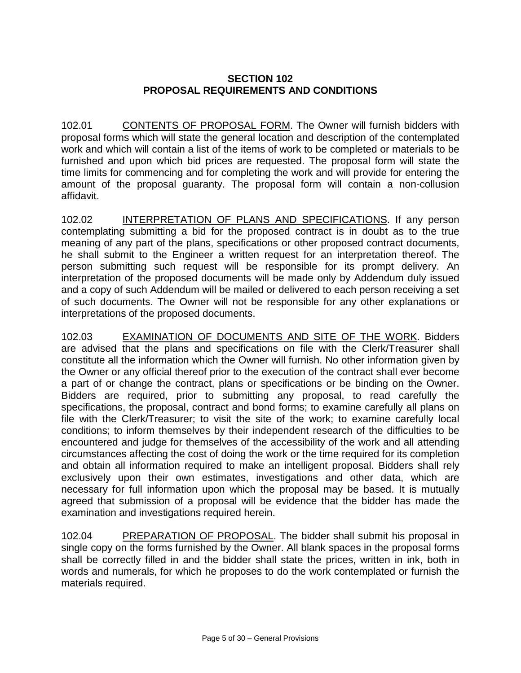# **SECTION 102 PROPOSAL REQUIREMENTS AND CONDITIONS**

102.01 CONTENTS OF PROPOSAL FORM. The Owner will furnish bidders with proposal forms which will state the general location and description of the contemplated work and which will contain a list of the items of work to be completed or materials to be furnished and upon which bid prices are requested. The proposal form will state the time limits for commencing and for completing the work and will provide for entering the amount of the proposal guaranty. The proposal form will contain a non-collusion affidavit.

102.02 INTERPRETATION OF PLANS AND SPECIFICATIONS. If any person contemplating submitting a bid for the proposed contract is in doubt as to the true meaning of any part of the plans, specifications or other proposed contract documents, he shall submit to the Engineer a written request for an interpretation thereof. The person submitting such request will be responsible for its prompt delivery. An interpretation of the proposed documents will be made only by Addendum duly issued and a copy of such Addendum will be mailed or delivered to each person receiving a set of such documents. The Owner will not be responsible for any other explanations or interpretations of the proposed documents.

102.03 EXAMINATION OF DOCUMENTS AND SITE OF THE WORK. Bidders are advised that the plans and specifications on file with the Clerk/Treasurer shall constitute all the information which the Owner will furnish. No other information given by the Owner or any official thereof prior to the execution of the contract shall ever become a part of or change the contract, plans or specifications or be binding on the Owner. Bidders are required, prior to submitting any proposal, to read carefully the specifications, the proposal, contract and bond forms; to examine carefully all plans on file with the Clerk/Treasurer; to visit the site of the work; to examine carefully local conditions; to inform themselves by their independent research of the difficulties to be encountered and judge for themselves of the accessibility of the work and all attending circumstances affecting the cost of doing the work or the time required for its completion and obtain all information required to make an intelligent proposal. Bidders shall rely exclusively upon their own estimates, investigations and other data, which are necessary for full information upon which the proposal may be based. It is mutually agreed that submission of a proposal will be evidence that the bidder has made the examination and investigations required herein.

102.04 PREPARATION OF PROPOSAL. The bidder shall submit his proposal in single copy on the forms furnished by the Owner. All blank spaces in the proposal forms shall be correctly filled in and the bidder shall state the prices, written in ink, both in words and numerals, for which he proposes to do the work contemplated or furnish the materials required.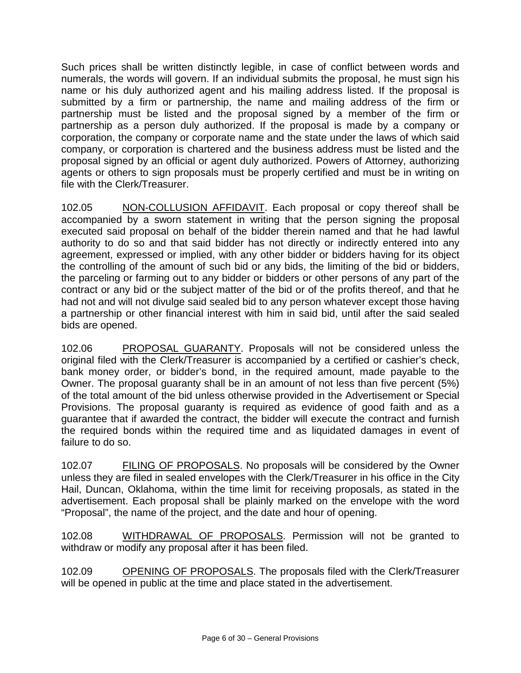Such prices shall be written distinctly legible, in case of conflict between words and numerals, the words will govern. If an individual submits the proposal, he must sign his name or his duly authorized agent and his mailing address listed. If the proposal is submitted by a firm or partnership, the name and mailing address of the firm or partnership must be listed and the proposal signed by a member of the firm or partnership as a person duly authorized. If the proposal is made by a company or corporation, the company or corporate name and the state under the laws of which said company, or corporation is chartered and the business address must be listed and the proposal signed by an official or agent duly authorized. Powers of Attorney, authorizing agents or others to sign proposals must be properly certified and must be in writing on file with the Clerk/Treasurer.

102.05 NON-COLLUSION AFFIDAVIT. Each proposal or copy thereof shall be accompanied by a sworn statement in writing that the person signing the proposal executed said proposal on behalf of the bidder therein named and that he had lawful authority to do so and that said bidder has not directly or indirectly entered into any agreement, expressed or implied, with any other bidder or bidders having for its object the controlling of the amount of such bid or any bids, the limiting of the bid or bidders, the parceling or farming out to any bidder or bidders or other persons of any part of the contract or any bid or the subject matter of the bid or of the profits thereof, and that he had not and will not divulge said sealed bid to any person whatever except those having a partnership or other financial interest with him in said bid, until after the said sealed bids are opened.

102.06 PROPOSAL GUARANTY. Proposals will not be considered unless the original filed with the Clerk/Treasurer is accompanied by a certified or cashier's check, bank money order, or bidder's bond, in the required amount, made payable to the Owner. The proposal guaranty shall be in an amount of not less than five percent (5%) of the total amount of the bid unless otherwise provided in the Advertisement or Special Provisions. The proposal guaranty is required as evidence of good faith and as a guarantee that if awarded the contract, the bidder will execute the contract and furnish the required bonds within the required time and as liquidated damages in event of failure to do so.

102.07 FILING OF PROPOSALS. No proposals will be considered by the Owner unless they are filed in sealed envelopes with the Clerk/Treasurer in his office in the City Hail, Duncan, Oklahoma, within the time limit for receiving proposals, as stated in the advertisement. Each proposal shall be plainly marked on the envelope with the word "Proposal", the name of the project, and the date and hour of opening.

102.08 WITHDRAWAL OF PROPOSALS. Permission will not be granted to withdraw or modify any proposal after it has been filed.

102.09 OPENING OF PROPOSALS. The proposals filed with the Clerk/Treasurer will be opened in public at the time and place stated in the advertisement.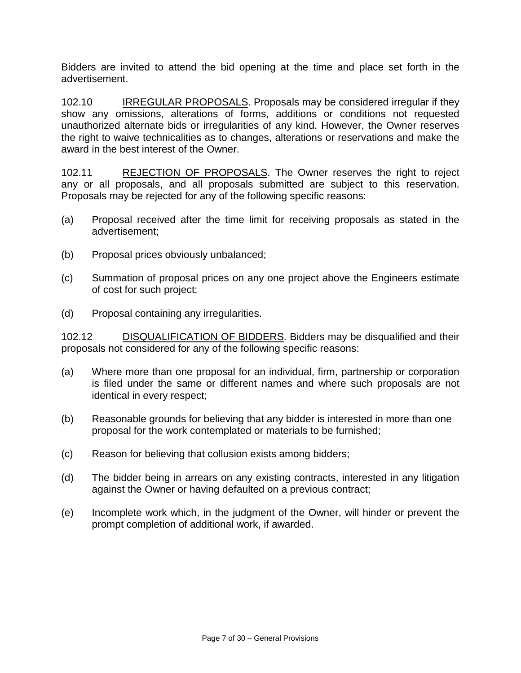Bidders are invited to attend the bid opening at the time and place set forth in the advertisement.

102.10 IRREGULAR PROPOSALS. Proposals may be considered irregular if they show any omissions, alterations of forms, additions or conditions not requested unauthorized alternate bids or irregularities of any kind. However, the Owner reserves the right to waive technicalities as to changes, alterations or reservations and make the award in the best interest of the Owner.

102.11 REJECTION OF PROPOSALS. The Owner reserves the right to reject any or all proposals, and all proposals submitted are subject to this reservation. Proposals may be rejected for any of the following specific reasons:

- (a) Proposal received after the time limit for receiving proposals as stated in the advertisement;
- (b) Proposal prices obviously unbalanced;
- (c) Summation of proposal prices on any one project above the Engineers estimate of cost for such project;
- (d) Proposal containing any irregularities.

102.12 **DISQUALIFICATION OF BIDDERS**. Bidders may be disqualified and their proposals not considered for any of the following specific reasons:

- (a) Where more than one proposal for an individual, firm, partnership or corporation is filed under the same or different names and where such proposals are not identical in every respect;
- (b) Reasonable grounds for believing that any bidder is interested in more than one proposal for the work contemplated or materials to be furnished;
- (c) Reason for believing that collusion exists among bidders;
- (d) The bidder being in arrears on any existing contracts, interested in any litigation against the Owner or having defaulted on a previous contract;
- (e) Incomplete work which, in the judgment of the Owner, will hinder or prevent the prompt completion of additional work, if awarded.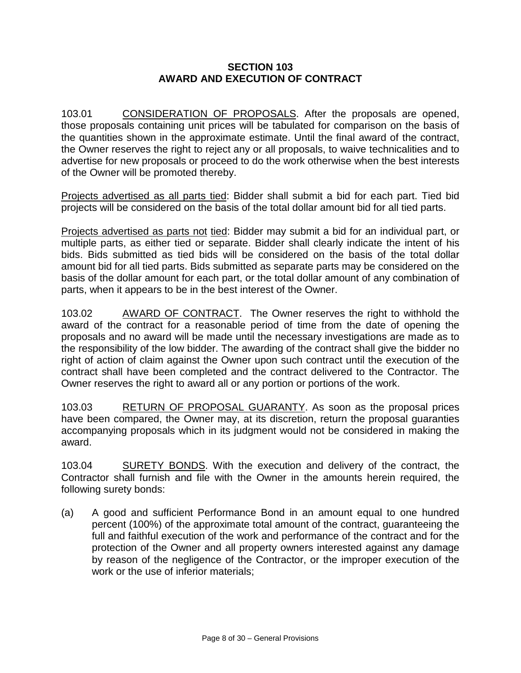### **SECTION 103 AWARD AND EXECUTION OF CONTRACT**

103.01 CONSIDERATION OF PROPOSALS. After the proposals are opened, those proposals containing unit prices will be tabulated for comparison on the basis of the quantities shown in the approximate estimate. Until the final award of the contract, the Owner reserves the right to reject any or all proposals, to waive technicalities and to advertise for new proposals or proceed to do the work otherwise when the best interests of the Owner will be promoted thereby.

Projects advertised as all parts tied: Bidder shall submit a bid for each part. Tied bid projects will be considered on the basis of the total dollar amount bid for all tied parts.

Projects advertised as parts not tied: Bidder may submit a bid for an individual part, or multiple parts, as either tied or separate. Bidder shall clearly indicate the intent of his bids. Bids submitted as tied bids will be considered on the basis of the total dollar amount bid for all tied parts. Bids submitted as separate parts may be considered on the basis of the dollar amount for each part, or the total dollar amount of any combination of parts, when it appears to be in the best interest of the Owner.

103.02 AWARD OF CONTRACT. The Owner reserves the right to withhold the award of the contract for a reasonable period of time from the date of opening the proposals and no award will be made until the necessary investigations are made as to the responsibility of the low bidder. The awarding of the contract shall give the bidder no right of action of claim against the Owner upon such contract until the execution of the contract shall have been completed and the contract delivered to the Contractor. The Owner reserves the right to award all or any portion or portions of the work.

103.03 RETURN OF PROPOSAL GUARANTY. As soon as the proposal prices have been compared, the Owner may, at its discretion, return the proposal guaranties accompanying proposals which in its judgment would not be considered in making the award.

103.04 SURETY BONDS. With the execution and delivery of the contract, the Contractor shall furnish and file with the Owner in the amounts herein required, the following surety bonds:

(a) A good and sufficient Performance Bond in an amount equal to one hundred percent (100%) of the approximate total amount of the contract, guaranteeing the full and faithful execution of the work and performance of the contract and for the protection of the Owner and all property owners interested against any damage by reason of the negligence of the Contractor, or the improper execution of the work or the use of inferior materials;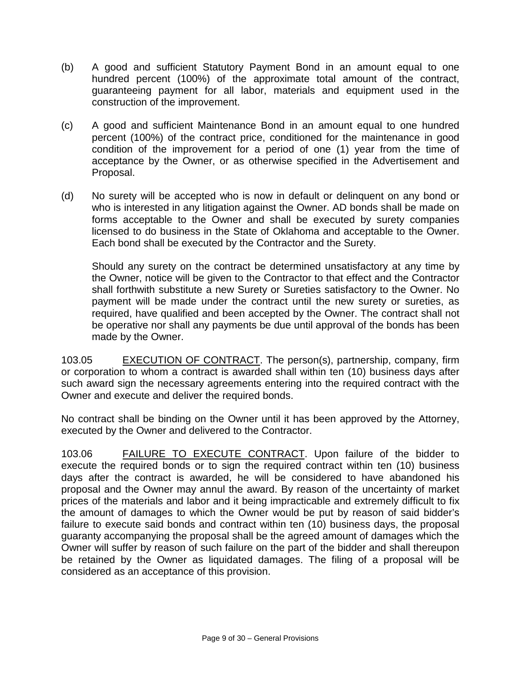- (b) A good and sufficient Statutory Payment Bond in an amount equal to one hundred percent (100%) of the approximate total amount of the contract, guaranteeing payment for all labor, materials and equipment used in the construction of the improvement.
- (c) A good and sufficient Maintenance Bond in an amount equal to one hundred percent (100%) of the contract price, conditioned for the maintenance in good condition of the improvement for a period of one (1) year from the time of acceptance by the Owner, or as otherwise specified in the Advertisement and Proposal.
- (d) No surety will be accepted who is now in default or delinquent on any bond or who is interested in any litigation against the Owner. AD bonds shall be made on forms acceptable to the Owner and shall be executed by surety companies licensed to do business in the State of Oklahoma and acceptable to the Owner. Each bond shall be executed by the Contractor and the Surety.

Should any surety on the contract be determined unsatisfactory at any time by the Owner, notice will be given to the Contractor to that effect and the Contractor shall forthwith substitute a new Surety or Sureties satisfactory to the Owner. No payment will be made under the contract until the new surety or sureties, as required, have qualified and been accepted by the Owner. The contract shall not be operative nor shall any payments be due until approval of the bonds has been made by the Owner.

103.05 EXECUTION OF CONTRACT. The person(s), partnership, company, firm or corporation to whom a contract is awarded shall within ten (10) business days after such award sign the necessary agreements entering into the required contract with the Owner and execute and deliver the required bonds.

No contract shall be binding on the Owner until it has been approved by the Attorney, executed by the Owner and delivered to the Contractor.

103.06 FAILURE TO EXECUTE CONTRACT. Upon failure of the bidder to execute the required bonds or to sign the required contract within ten (10) business days after the contract is awarded, he will be considered to have abandoned his proposal and the Owner may annul the award. By reason of the uncertainty of market prices of the materials and labor and it being impracticable and extremely difficult to fix the amount of damages to which the Owner would be put by reason of said bidder's failure to execute said bonds and contract within ten (10) business days, the proposal guaranty accompanying the proposal shall be the agreed amount of damages which the Owner will suffer by reason of such failure on the part of the bidder and shall thereupon be retained by the Owner as liquidated damages. The filing of a proposal will be considered as an acceptance of this provision.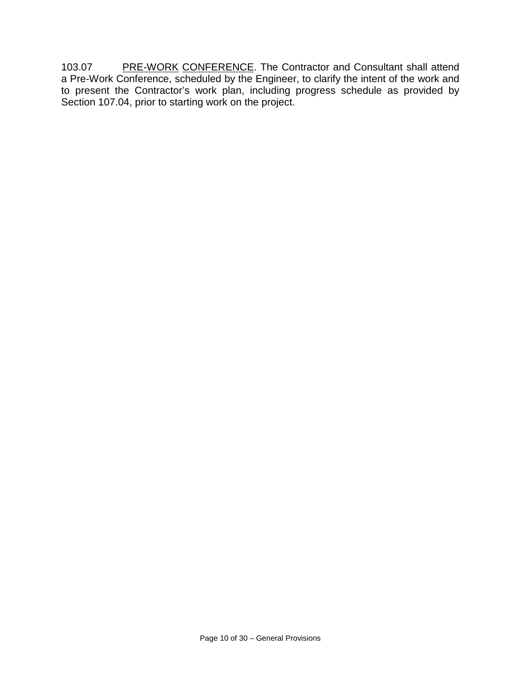103.07 PRE-WORK CONFERENCE. The Contractor and Consultant shall attend a Pre-Work Conference, scheduled by the Engineer, to clarify the intent of the work and to present the Contractor's work plan, including progress schedule as provided by Section 107.04, prior to starting work on the project.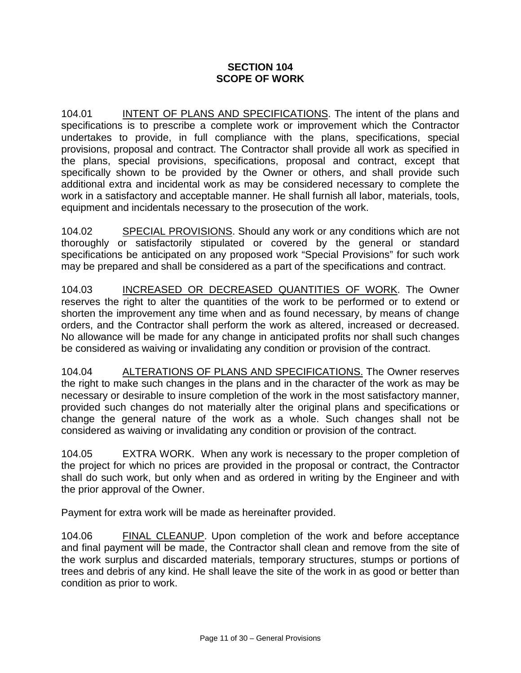### **SECTION 104 SCOPE OF WORK**

104.01 INTENT OF PLANS AND SPECIFICATIONS. The intent of the plans and specifications is to prescribe a complete work or improvement which the Contractor undertakes to provide, in full compliance with the plans, specifications, special provisions, proposal and contract. The Contractor shall provide all work as specified in the plans, special provisions, specifications, proposal and contract, except that specifically shown to be provided by the Owner or others, and shall provide such additional extra and incidental work as may be considered necessary to complete the work in a satisfactory and acceptable manner. He shall furnish all labor, materials, tools, equipment and incidentals necessary to the prosecution of the work.

104.02 SPECIAL PROVISIONS. Should any work or any conditions which are not thoroughly or satisfactorily stipulated or covered by the general or standard specifications be anticipated on any proposed work "Special Provisions" for such work may be prepared and shall be considered as a part of the specifications and contract.

104.03 INCREASED OR DECREASED QUANTITIES OF WORK. The Owner reserves the right to alter the quantities of the work to be performed or to extend or shorten the improvement any time when and as found necessary, by means of change orders, and the Contractor shall perform the work as altered, increased or decreased. No allowance will be made for any change in anticipated profits nor shall such changes be considered as waiving or invalidating any condition or provision of the contract.

104.04 ALTERATIONS OF PLANS AND SPECIFICATIONS. The Owner reserves the right to make such changes in the plans and in the character of the work as may be necessary or desirable to insure completion of the work in the most satisfactory manner, provided such changes do not materially alter the original plans and specifications or change the general nature of the work as a whole. Such changes shall not be considered as waiving or invalidating any condition or provision of the contract.

104.05 EXTRA WORK. When any work is necessary to the proper completion of the project for which no prices are provided in the proposal or contract, the Contractor shall do such work, but only when and as ordered in writing by the Engineer and with the prior approval of the Owner.

Payment for extra work will be made as hereinafter provided.

104.06 FINAL CLEANUP. Upon completion of the work and before acceptance and final payment will be made, the Contractor shall clean and remove from the site of the work surplus and discarded materials, temporary structures, stumps or portions of trees and debris of any kind. He shall leave the site of the work in as good or better than condition as prior to work.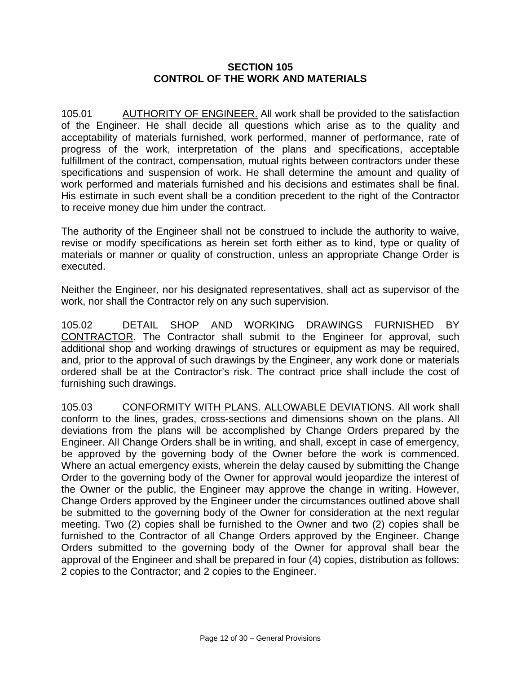#### **SECTION 105 CONTROL OF THE WORK AND MATERIALS**

105.01 AUTHORITY OF ENGINEER. All work shall be provided to the satisfaction of the Engineer. He shall decide all questions which arise as to the quality and acceptability of materials furnished, work performed, manner of performance, rate of progress of the work, interpretation of the plans and specifications, acceptable fulfillment of the contract, compensation, mutual rights between contractors under these specifications and suspension of work. He shall determine the amount and quality of work performed and materials furnished and his decisions and estimates shall be final. His estimate in such event shall be a condition precedent to the right of the Contractor to receive money due him under the contract.

The authority of the Engineer shall not be construed to include the authority to waive, revise or modify specifications as herein set forth either as to kind, type or quality of materials or manner or quality of construction, unless an appropriate Change Order is executed.

Neither the Engineer, nor his designated representatives, shall act as supervisor of the work, nor shall the Contractor rely on any such supervision.

105.02 DETAIL SHOP AND WORKING DRAWINGS FURNISHED BY CONTRACTOR. The Contractor shall submit to the Engineer for approval, such additional shop and working drawings of structures or equipment as may be required, and, prior to the approval of such drawings by the Engineer, any work done or materials ordered shall be at the Contractor's risk. The contract price shall include the cost of furnishing such drawings.

105.03 CONFORMITY WITH PLANS. ALLOWABLE DEVIATIONS. All work shall conform to the lines, grades, cross-sections and dimensions shown on the plans. All deviations from the plans will be accomplished by Change Orders prepared by the Engineer. All Change Orders shall be in writing, and shall, except in case of emergency, be approved by the governing body of the Owner before the work is commenced. Where an actual emergency exists, wherein the delay caused by submitting the Change Order to the governing body of the Owner for approval would jeopardize the interest of the Owner or the public, the Engineer may approve the change in writing. However, Change Orders approved by the Engineer under the circumstances outlined above shall be submitted to the governing body of the Owner for consideration at the next regular meeting. Two (2) copies shall be furnished to the Owner and two (2) copies shall be furnished to the Contractor of all Change Orders approved by the Engineer. Change Orders submitted to the governing body of the Owner for approval shall bear the approval of the Engineer and shall be prepared in four (4) copies, distribution as follows: 2 copies to the Contractor; and 2 copies to the Engineer.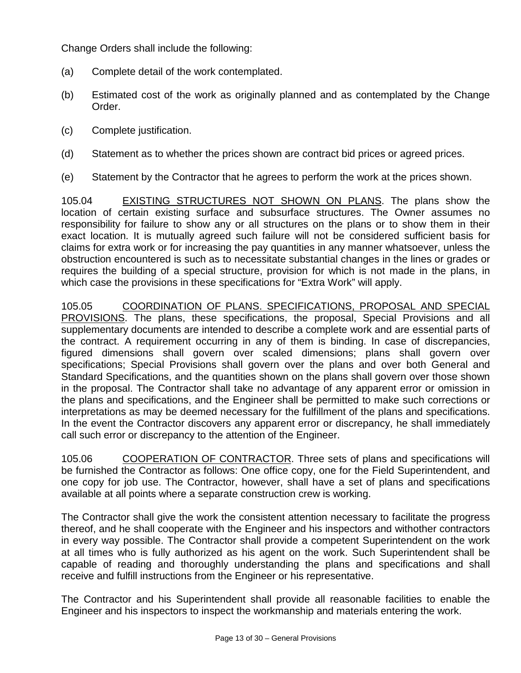Change Orders shall include the following:

- (a) Complete detail of the work contemplated.
- (b) Estimated cost of the work as originally planned and as contemplated by the Change Order.
- (c) Complete justification.
- (d) Statement as to whether the prices shown are contract bid prices or agreed prices.
- (e) Statement by the Contractor that he agrees to perform the work at the prices shown.

105.04 EXISTING STRUCTURES NOT SHOWN ON PLANS. The plans show the location of certain existing surface and subsurface structures. The Owner assumes no responsibility for failure to show any or all structures on the plans or to show them in their exact location. It is mutually agreed such failure will not be considered sufficient basis for claims for extra work or for increasing the pay quantities in any manner whatsoever, unless the obstruction encountered is such as to necessitate substantial changes in the lines or grades or requires the building of a special structure, provision for which is not made in the plans, in which case the provisions in these specifications for "Extra Work" will apply.

105.05 COORDINATION OF PLANS. SPECIFICATIONS, PROPOSAL AND SPECIAL PROVISIONS. The plans, these specifications, the proposal, Special Provisions and all supplementary documents are intended to describe a complete work and are essential parts of the contract. A requirement occurring in any of them is binding. In case of discrepancies, figured dimensions shall govern over scaled dimensions; plans shall govern over specifications; Special Provisions shall govern over the plans and over both General and Standard Specifications, and the quantities shown on the plans shall govern over those shown in the proposal. The Contractor shall take no advantage of any apparent error or omission in the plans and specifications, and the Engineer shall be permitted to make such corrections or interpretations as may be deemed necessary for the fulfillment of the plans and specifications. In the event the Contractor discovers any apparent error or discrepancy, he shall immediately call such error or discrepancy to the attention of the Engineer.

105.06 COOPERATION OF CONTRACTOR. Three sets of plans and specifications will be furnished the Contractor as follows: One office copy, one for the Field Superintendent, and one copy for job use. The Contractor, however, shall have a set of plans and specifications available at all points where a separate construction crew is working.

The Contractor shall give the work the consistent attention necessary to facilitate the progress thereof, and he shall cooperate with the Engineer and his inspectors and withother contractors in every way possible. The Contractor shall provide a competent Superintendent on the work at all times who is fully authorized as his agent on the work. Such Superintendent shall be capable of reading and thoroughly understanding the plans and specifications and shall receive and fulfill instructions from the Engineer or his representative.

The Contractor and his Superintendent shall provide all reasonable facilities to enable the Engineer and his inspectors to inspect the workmanship and materials entering the work.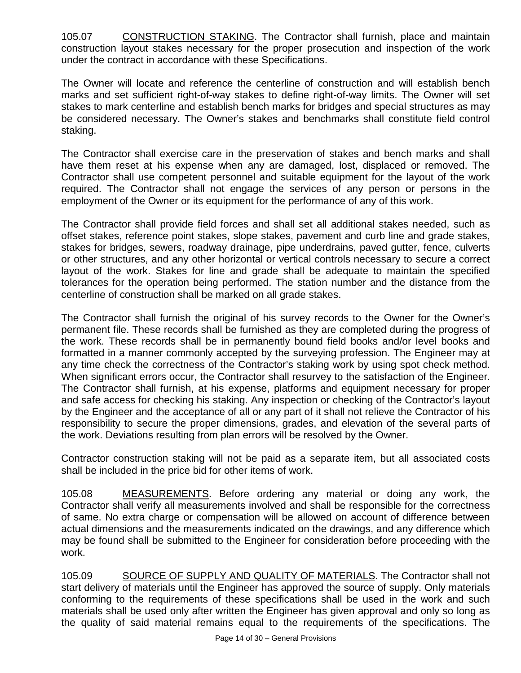105.07 CONSTRUCTION STAKING. The Contractor shall furnish, place and maintain construction layout stakes necessary for the proper prosecution and inspection of the work under the contract in accordance with these Specifications.

The Owner will locate and reference the centerline of construction and will establish bench marks and set sufficient right-of-way stakes to define right-of-way limits. The Owner will set stakes to mark centerline and establish bench marks for bridges and special structures as may be considered necessary. The Owner's stakes and benchmarks shall constitute field control staking.

The Contractor shall exercise care in the preservation of stakes and bench marks and shall have them reset at his expense when any are damaged, lost, displaced or removed. The Contractor shall use competent personnel and suitable equipment for the layout of the work required. The Contractor shall not engage the services of any person or persons in the employment of the Owner or its equipment for the performance of any of this work.

The Contractor shall provide field forces and shall set all additional stakes needed, such as offset stakes, reference point stakes, slope stakes, pavement and curb line and grade stakes, stakes for bridges, sewers, roadway drainage, pipe underdrains, paved gutter, fence, culverts or other structures, and any other horizontal or vertical controls necessary to secure a correct layout of the work. Stakes for line and grade shall be adequate to maintain the specified tolerances for the operation being performed. The station number and the distance from the centerline of construction shall be marked on all grade stakes.

The Contractor shall furnish the original of his survey records to the Owner for the Owner's permanent file. These records shall be furnished as they are completed during the progress of the work. These records shall be in permanently bound field books and/or level books and formatted in a manner commonly accepted by the surveying profession. The Engineer may at any time check the correctness of the Contractor's staking work by using spot check method. When significant errors occur, the Contractor shall resurvey to the satisfaction of the Engineer. The Contractor shall furnish, at his expense, platforms and equipment necessary for proper and safe access for checking his staking. Any inspection or checking of the Contractor's layout by the Engineer and the acceptance of all or any part of it shall not relieve the Contractor of his responsibility to secure the proper dimensions, grades, and elevation of the several parts of the work. Deviations resulting from plan errors will be resolved by the Owner.

Contractor construction staking will not be paid as a separate item, but all associated costs shall be included in the price bid for other items of work.

105.08 MEASUREMENTS. Before ordering any material or doing any work, the Contractor shall verify all measurements involved and shall be responsible for the correctness of same. No extra charge or compensation will be allowed on account of difference between actual dimensions and the measurements indicated on the drawings, and any difference which may be found shall be submitted to the Engineer for consideration before proceeding with the work.

105.09 SOURCE OF SUPPLY AND QUALITY OF MATERIALS. The Contractor shall not start delivery of materials until the Engineer has approved the source of supply. Only materials conforming to the requirements of these specifications shall be used in the work and such materials shall be used only after written the Engineer has given approval and only so long as the quality of said material remains equal to the requirements of the specifications. The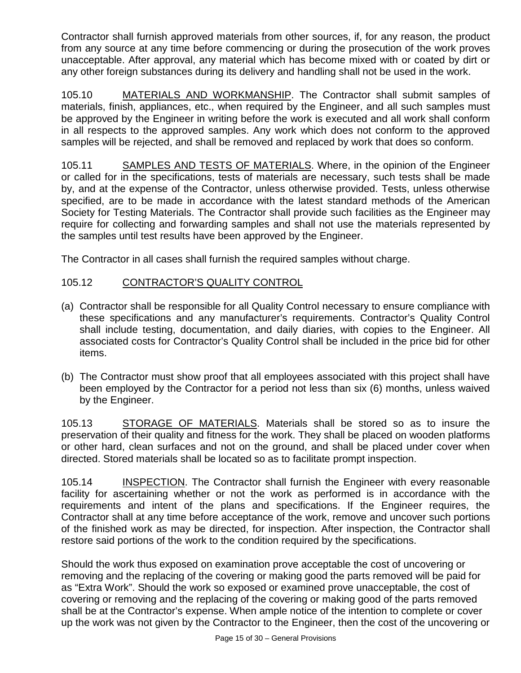Contractor shall furnish approved materials from other sources, if, for any reason, the product from any source at any time before commencing or during the prosecution of the work proves unacceptable. After approval, any material which has become mixed with or coated by dirt or any other foreign substances during its delivery and handling shall not be used in the work.

105.10 MATERIALS AND WORKMANSHIP. The Contractor shall submit samples of materials, finish, appliances, etc., when required by the Engineer, and all such samples must be approved by the Engineer in writing before the work is executed and all work shall conform in all respects to the approved samples. Any work which does not conform to the approved samples will be rejected, and shall be removed and replaced by work that does so conform.

105.11 SAMPLES AND TESTS OF MATERIALS. Where, in the opinion of the Engineer or called for in the specifications, tests of materials are necessary, such tests shall be made by, and at the expense of the Contractor, unless otherwise provided. Tests, unless otherwise specified, are to be made in accordance with the latest standard methods of the American Society for Testing Materials. The Contractor shall provide such facilities as the Engineer may require for collecting and forwarding samples and shall not use the materials represented by the samples until test results have been approved by the Engineer.

The Contractor in all cases shall furnish the required samples without charge.

# 105.12 CONTRACTOR'S QUALITY CONTROL

- (a) Contractor shall be responsible for all Quality Control necessary to ensure compliance with these specifications and any manufacturer's requirements. Contractor's Quality Control shall include testing, documentation, and daily diaries, with copies to the Engineer. All associated costs for Contractor's Quality Control shall be included in the price bid for other items.
- (b) The Contractor must show proof that all employees associated with this project shall have been employed by the Contractor for a period not less than six (6) months, unless waived by the Engineer.

105.13 STORAGE OF MATERIALS. Materials shall be stored so as to insure the preservation of their quality and fitness for the work. They shall be placed on wooden platforms or other hard, clean surfaces and not on the ground, and shall be placed under cover when directed. Stored materials shall be located so as to facilitate prompt inspection.

105.14 **INSPECTION**. The Contractor shall furnish the Engineer with every reasonable facility for ascertaining whether or not the work as performed is in accordance with the requirements and intent of the plans and specifications. If the Engineer requires, the Contractor shall at any time before acceptance of the work, remove and uncover such portions of the finished work as may be directed, for inspection. After inspection, the Contractor shall restore said portions of the work to the condition required by the specifications.

Should the work thus exposed on examination prove acceptable the cost of uncovering or removing and the replacing of the covering or making good the parts removed will be paid for as "Extra Work". Should the work so exposed or examined prove unacceptable, the cost of covering or removing and the replacing of the covering or making good of the parts removed shall be at the Contractor's expense. When ample notice of the intention to complete or cover up the work was not given by the Contractor to the Engineer, then the cost of the uncovering or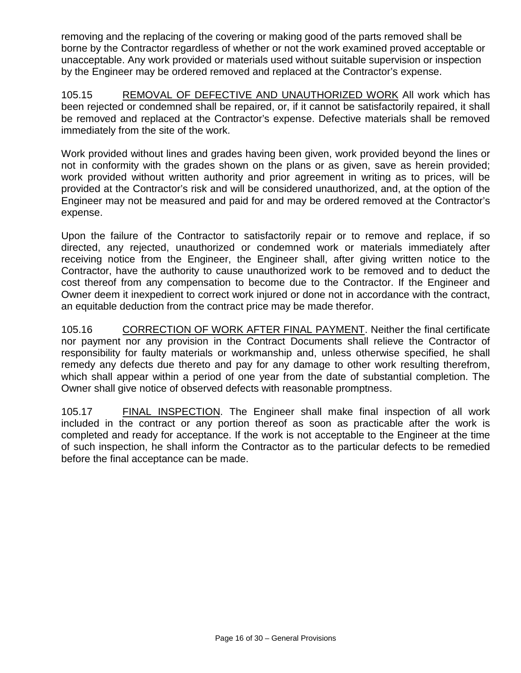removing and the replacing of the covering or making good of the parts removed shall be borne by the Contractor regardless of whether or not the work examined proved acceptable or unacceptable. Any work provided or materials used without suitable supervision or inspection by the Engineer may be ordered removed and replaced at the Contractor's expense.

105.15 REMOVAL OF DEFECTIVE AND UNAUTHORIZED WORK All work which has been rejected or condemned shall be repaired, or, if it cannot be satisfactorily repaired, it shall be removed and replaced at the Contractor's expense. Defective materials shall be removed immediately from the site of the work.

Work provided without lines and grades having been given, work provided beyond the lines or not in conformity with the grades shown on the plans or as given, save as herein provided; work provided without written authority and prior agreement in writing as to prices, will be provided at the Contractor's risk and will be considered unauthorized, and, at the option of the Engineer may not be measured and paid for and may be ordered removed at the Contractor's expense.

Upon the failure of the Contractor to satisfactorily repair or to remove and replace, if so directed, any rejected, unauthorized or condemned work or materials immediately after receiving notice from the Engineer, the Engineer shall, after giving written notice to the Contractor, have the authority to cause unauthorized work to be removed and to deduct the cost thereof from any compensation to become due to the Contractor. If the Engineer and Owner deem it inexpedient to correct work injured or done not in accordance with the contract, an equitable deduction from the contract price may be made therefor.

105.16 CORRECTION OF WORK AFTER FINAL PAYMENT. Neither the final certificate nor payment nor any provision in the Contract Documents shall relieve the Contractor of responsibility for faulty materials or workmanship and, unless otherwise specified, he shall remedy any defects due thereto and pay for any damage to other work resulting therefrom, which shall appear within a period of one year from the date of substantial completion. The Owner shall give notice of observed defects with reasonable promptness.

105.17 FINAL INSPECTION. The Engineer shall make final inspection of all work included in the contract or any portion thereof as soon as practicable after the work is completed and ready for acceptance. If the work is not acceptable to the Engineer at the time of such inspection, he shall inform the Contractor as to the particular defects to be remedied before the final acceptance can be made.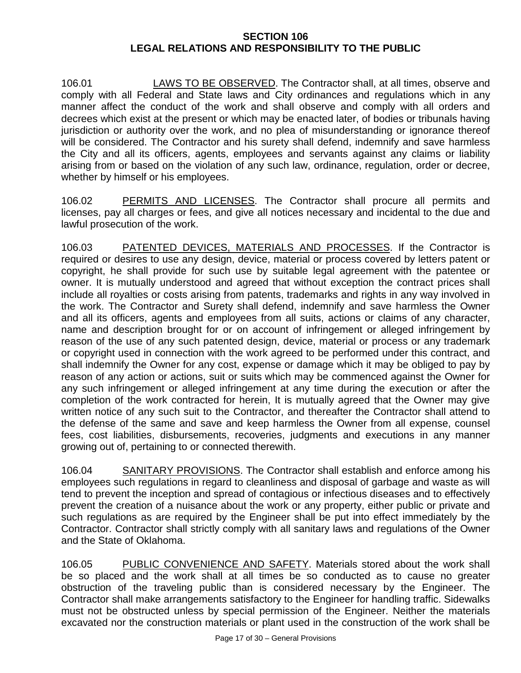### **SECTION 106 LEGAL RELATIONS AND RESPONSIBILITY TO THE PUBLIC**

106.01 LAWS TO BE OBSERVED. The Contractor shall, at all times, observe and comply with all Federal and State laws and City ordinances and regulations which in any manner affect the conduct of the work and shall observe and comply with all orders and decrees which exist at the present or which may be enacted later, of bodies or tribunals having jurisdiction or authority over the work, and no plea of misunderstanding or ignorance thereof will be considered. The Contractor and his surety shall defend, indemnify and save harmless the City and all its officers, agents, employees and servants against any claims or liability arising from or based on the violation of any such law, ordinance, regulation, order or decree, whether by himself or his employees.

106.02 PERMITS AND LICENSES. The Contractor shall procure all permits and licenses, pay all charges or fees, and give all notices necessary and incidental to the due and lawful prosecution of the work.

106.03 PATENTED DEVICES, MATERIALS AND PROCESSES. If the Contractor is required or desires to use any design, device, material or process covered by letters patent or copyright, he shall provide for such use by suitable legal agreement with the patentee or owner. It is mutually understood and agreed that without exception the contract prices shall include all royalties or costs arising from patents, trademarks and rights in any way involved in the work. The Contractor and Surety shall defend, indemnify and save harmless the Owner and all its officers, agents and employees from all suits, actions or claims of any character, name and description brought for or on account of infringement or alleged infringement by reason of the use of any such patented design, device, material or process or any trademark or copyright used in connection with the work agreed to be performed under this contract, and shall indemnify the Owner for any cost, expense or damage which it may be obliged to pay by reason of any action or actions, suit or suits which may be commenced against the Owner for any such infringement or alleged infringement at any time during the execution or after the completion of the work contracted for herein, It is mutually agreed that the Owner may give written notice of any such suit to the Contractor, and thereafter the Contractor shall attend to the defense of the same and save and keep harmless the Owner from all expense, counsel fees, cost liabilities, disbursements, recoveries, judgments and executions in any manner growing out of, pertaining to or connected therewith.

106.04 SANITARY PROVISIONS. The Contractor shall establish and enforce among his employees such regulations in regard to cleanliness and disposal of garbage and waste as will tend to prevent the inception and spread of contagious or infectious diseases and to effectively prevent the creation of a nuisance about the work or any property, either public or private and such regulations as are required by the Engineer shall be put into effect immediately by the Contractor. Contractor shall strictly comply with all sanitary laws and regulations of the Owner and the State of Oklahoma.

106.05 PUBLIC CONVENIENCE AND SAFETY. Materials stored about the work shall be so placed and the work shall at all times be so conducted as to cause no greater obstruction of the traveling public than is considered necessary by the Engineer. The Contractor shall make arrangements satisfactory to the Engineer for handling traffic. Sidewalks must not be obstructed unless by special permission of the Engineer. Neither the materials excavated nor the construction materials or plant used in the construction of the work shall be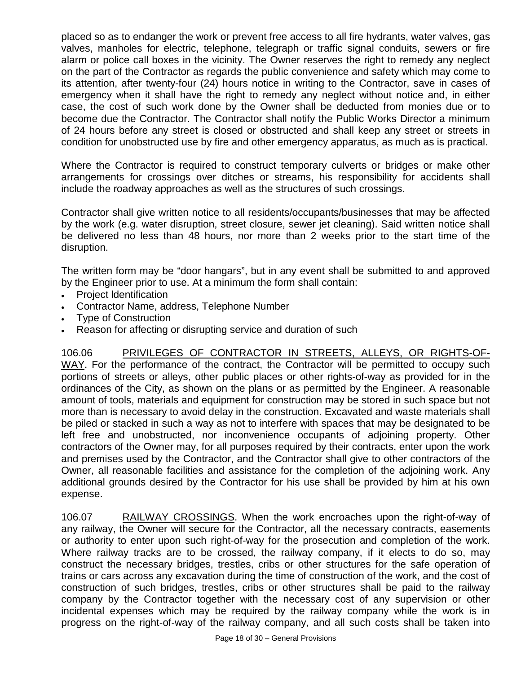placed so as to endanger the work or prevent free access to all fire hydrants, water valves, gas valves, manholes for electric, telephone, telegraph or traffic signal conduits, sewers or fire alarm or police call boxes in the vicinity. The Owner reserves the right to remedy any neglect on the part of the Contractor as regards the public convenience and safety which may come to its attention, after twenty-four (24) hours notice in writing to the Contractor, save in cases of emergency when it shall have the right to remedy any neglect without notice and, in either case, the cost of such work done by the Owner shall be deducted from monies due or to become due the Contractor. The Contractor shall notify the Public Works Director a minimum of 24 hours before any street is closed or obstructed and shall keep any street or streets in condition for unobstructed use by fire and other emergency apparatus, as much as is practical.

Where the Contractor is required to construct temporary culverts or bridges or make other arrangements for crossings over ditches or streams, his responsibility for accidents shall include the roadway approaches as well as the structures of such crossings.

Contractor shall give written notice to all residents/occupants/businesses that may be affected by the work (e.g. water disruption, street closure, sewer jet cleaning). Said written notice shall be delivered no less than 48 hours, nor more than 2 weeks prior to the start time of the disruption.

The written form may be "door hangars", but in any event shall be submitted to and approved by the Engineer prior to use. At a minimum the form shall contain:

- Project ldentification
- Contractor Name, address, Telephone Number
- Type of Construction
- Reason for affecting or disrupting service and duration of such

106.06 PRIVILEGES OF CONTRACTOR IN STREETS, ALLEYS, OR RIGHTS-OF-WAY. For the performance of the contract, the Contractor will be permitted to occupy such portions of streets or alleys, other public places or other rights-of-way as provided for in the ordinances of the City, as shown on the plans or as permitted by the Engineer. A reasonable amount of tools, materials and equipment for construction may be stored in such space but not more than is necessary to avoid delay in the construction. Excavated and waste materials shall be piled or stacked in such a way as not to interfere with spaces that may be designated to be left free and unobstructed, nor inconvenience occupants of adjoining property. Other contractors of the Owner may, for all purposes required by their contracts, enter upon the work and premises used by the Contractor, and the Contractor shall give to other contractors of the Owner, all reasonable facilities and assistance for the completion of the adjoining work. Any additional grounds desired by the Contractor for his use shall be provided by him at his own expense.

106.07 RAILWAY CROSSINGS. When the work encroaches upon the right-of-way of any railway, the Owner will secure for the Contractor, all the necessary contracts, easements or authority to enter upon such right-of-way for the prosecution and completion of the work. Where railway tracks are to be crossed, the railway company, if it elects to do so, may construct the necessary bridges, trestles, cribs or other structures for the safe operation of trains or cars across any excavation during the time of construction of the work, and the cost of construction of such bridges, trestles, cribs or other structures shall be paid to the railway company by the Contractor together with the necessary cost of any supervision or other incidental expenses which may be required by the railway company while the work is in progress on the right-of-way of the railway company, and all such costs shall be taken into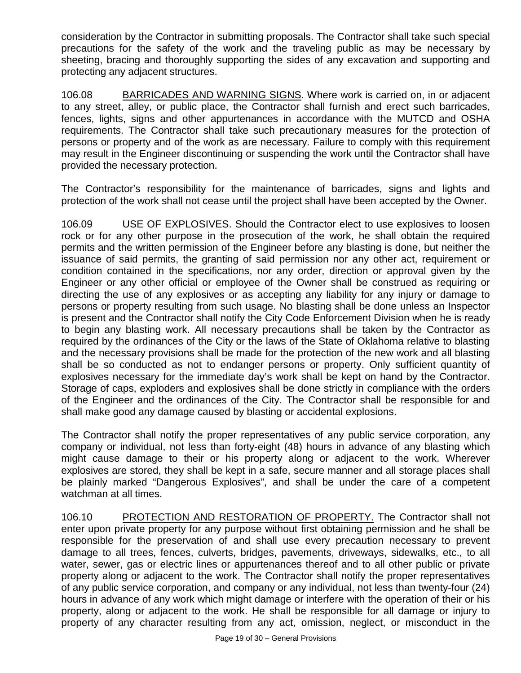consideration by the Contractor in submitting proposals. The Contractor shall take such special precautions for the safety of the work and the traveling public as may be necessary by sheeting, bracing and thoroughly supporting the sides of any excavation and supporting and protecting any adjacent structures.

106.08 BARRICADES AND WARNING SIGNS. Where work is carried on, in or adjacent to any street, alley, or public place, the Contractor shall furnish and erect such barricades, fences, lights, signs and other appurtenances in accordance with the MUTCD and OSHA requirements. The Contractor shall take such precautionary measures for the protection of persons or property and of the work as are necessary. Failure to comply with this requirement may result in the Engineer discontinuing or suspending the work until the Contractor shall have provided the necessary protection.

The Contractor's responsibility for the maintenance of barricades, signs and lights and protection of the work shall not cease until the project shall have been accepted by the Owner.

106.09 USE OF EXPLOSIVES. Should the Contractor elect to use explosives to loosen rock or for any other purpose in the prosecution of the work, he shall obtain the required permits and the written permission of the Engineer before any blasting is done, but neither the issuance of said permits, the granting of said permission nor any other act, requirement or condition contained in the specifications, nor any order, direction or approval given by the Engineer or any other official or employee of the Owner shall be construed as requiring or directing the use of any explosives or as accepting any liability for any injury or damage to persons or property resulting from such usage. No blasting shall be done unless an Inspector is present and the Contractor shall notify the City Code Enforcement Division when he is ready to begin any blasting work. All necessary precautions shall be taken by the Contractor as required by the ordinances of the City or the laws of the State of Oklahoma relative to blasting and the necessary provisions shall be made for the protection of the new work and all blasting shall be so conducted as not to endanger persons or property. Only sufficient quantity of explosives necessary for the immediate day's work shall be kept on hand by the Contractor. Storage of caps, exploders and explosives shall be done strictly in compliance with the orders of the Engineer and the ordinances of the City. The Contractor shall be responsible for and shall make good any damage caused by blasting or accidental explosions.

The Contractor shall notify the proper representatives of any public service corporation, any company or individual, not less than forty-eight (48) hours in advance of any blasting which might cause damage to their or his property along or adjacent to the work. Wherever explosives are stored, they shall be kept in a safe, secure manner and all storage places shall be plainly marked "Dangerous Explosives", and shall be under the care of a competent watchman at all times.

106.10 PROTECTION AND RESTORATION OF PROPERTY. The Contractor shall not enter upon private property for any purpose without first obtaining permission and he shall be responsible for the preservation of and shall use every precaution necessary to prevent damage to all trees, fences, culverts, bridges, pavements, driveways, sidewalks, etc., to all water, sewer, gas or electric lines or appurtenances thereof and to all other public or private property along or adjacent to the work. The Contractor shall notify the proper representatives of any public service corporation, and company or any individual, not less than twenty-four (24) hours in advance of any work which might damage or interfere with the operation of their or his property, along or adjacent to the work. He shall be responsible for all damage or injury to property of any character resulting from any act, omission, neglect, or misconduct in the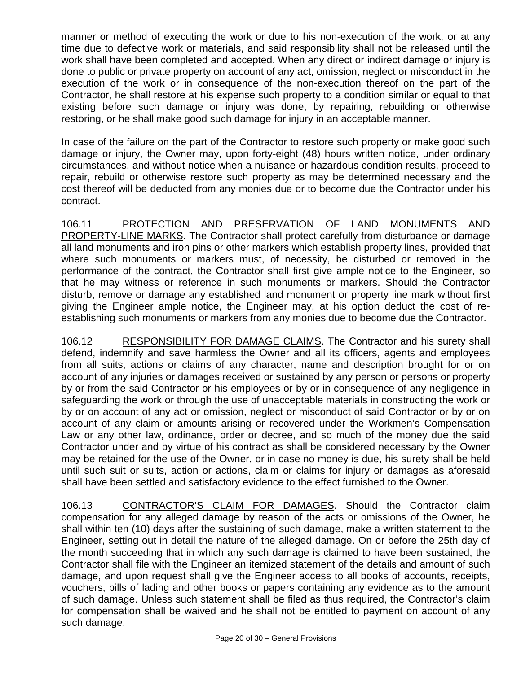manner or method of executing the work or due to his non-execution of the work, or at any time due to defective work or materials, and said responsibility shall not be released until the work shall have been completed and accepted. When any direct or indirect damage or injury is done to public or private property on account of any act, omission, neglect or misconduct in the execution of the work or in consequence of the non-execution thereof on the part of the Contractor, he shall restore at his expense such property to a condition similar or equal to that existing before such damage or injury was done, by repairing, rebuilding or otherwise restoring, or he shall make good such damage for injury in an acceptable manner.

In case of the failure on the part of the Contractor to restore such property or make good such damage or injury, the Owner may, upon forty-eight (48) hours written notice, under ordinary circumstances, and without notice when a nuisance or hazardous condition results, proceed to repair, rebuild or otherwise restore such property as may be determined necessary and the cost thereof will be deducted from any monies due or to become due the Contractor under his contract.

106.11 PROTECTION AND PRESERVATION OF LAND MONUMENTS AND PROPERTY-LINE MARKS. The Contractor shall protect carefully from disturbance or damage all land monuments and iron pins or other markers which establish property lines, provided that where such monuments or markers must, of necessity, be disturbed or removed in the performance of the contract, the Contractor shall first give ample notice to the Engineer, so that he may witness or reference in such monuments or markers. Should the Contractor disturb, remove or damage any established land monument or property line mark without first giving the Engineer ample notice, the Engineer may, at his option deduct the cost of reestablishing such monuments or markers from any monies due to become due the Contractor.

106.12 RESPONSIBILITY FOR DAMAGE CLAIMS. The Contractor and his surety shall defend, indemnify and save harmless the Owner and all its officers, agents and employees from all suits, actions or claims of any character, name and description brought for or on account of any injuries or damages received or sustained by any person or persons or property by or from the said Contractor or his employees or by or in consequence of any negligence in safeguarding the work or through the use of unacceptable materials in constructing the work or by or on account of any act or omission, neglect or misconduct of said Contractor or by or on account of any claim or amounts arising or recovered under the Workmen's Compensation Law or any other law, ordinance, order or decree, and so much of the money due the said Contractor under and by virtue of his contract as shall be considered necessary by the Owner may be retained for the use of the Owner, or in case no money is due, his surety shall be held until such suit or suits, action or actions, claim or claims for injury or damages as aforesaid shall have been settled and satisfactory evidence to the effect furnished to the Owner.

106.13 CONTRACTOR'S CLAIM FOR DAMAGES. Should the Contractor claim compensation for any alleged damage by reason of the acts or omissions of the Owner, he shall within ten (10) days after the sustaining of such damage, make a written statement to the Engineer, setting out in detail the nature of the alleged damage. On or before the 25th day of the month succeeding that in which any such damage is claimed to have been sustained, the Contractor shall file with the Engineer an itemized statement of the details and amount of such damage, and upon request shall give the Engineer access to all books of accounts, receipts, vouchers, bills of lading and other books or papers containing any evidence as to the amount of such damage. Unless such statement shall be filed as thus required, the Contractor's claim for compensation shall be waived and he shall not be entitled to payment on account of any such damage.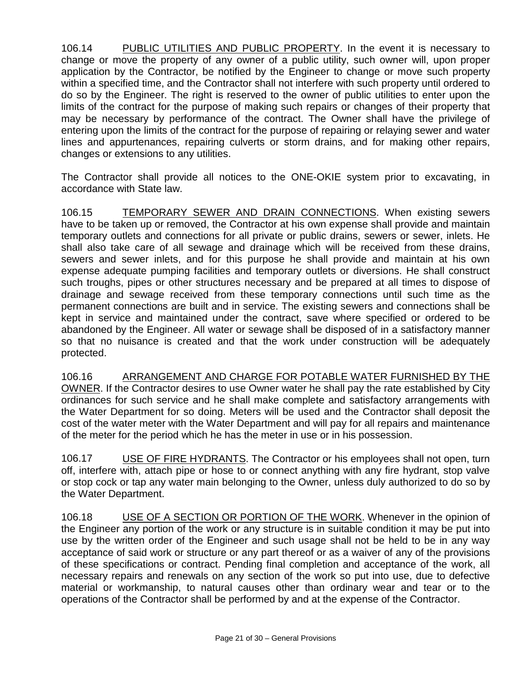106.14 PUBLIC UTILITIES AND PUBLIC PROPERTY. In the event it is necessary to change or move the property of any owner of a public utility, such owner will, upon proper application by the Contractor, be notified by the Engineer to change or move such property within a specified time, and the Contractor shall not interfere with such property until ordered to do so by the Engineer. The right is reserved to the owner of public utilities to enter upon the limits of the contract for the purpose of making such repairs or changes of their property that may be necessary by performance of the contract. The Owner shall have the privilege of entering upon the limits of the contract for the purpose of repairing or relaying sewer and water lines and appurtenances, repairing culverts or storm drains, and for making other repairs, changes or extensions to any utilities.

The Contractor shall provide all notices to the ONE-OKIE system prior to excavating, in accordance with State law.

106.15 TEMPORARY SEWER AND DRAIN CONNECTIONS. When existing sewers have to be taken up or removed, the Contractor at his own expense shall provide and maintain temporary outlets and connections for all private or public drains, sewers or sewer, inlets. He shall also take care of all sewage and drainage which will be received from these drains, sewers and sewer inlets, and for this purpose he shall provide and maintain at his own expense adequate pumping facilities and temporary outlets or diversions. He shall construct such troughs, pipes or other structures necessary and be prepared at all times to dispose of drainage and sewage received from these temporary connections until such time as the permanent connections are built and in service. The existing sewers and connections shall be kept in service and maintained under the contract, save where specified or ordered to be abandoned by the Engineer. All water or sewage shall be disposed of in a satisfactory manner so that no nuisance is created and that the work under construction will be adequately protected.

106.16 ARRANGEMENT AND CHARGE FOR POTABLE WATER FURNISHED BY THE OWNER. If the Contractor desires to use Owner water he shall pay the rate established by City ordinances for such service and he shall make complete and satisfactory arrangements with the Water Department for so doing. Meters will be used and the Contractor shall deposit the cost of the water meter with the Water Department and will pay for all repairs and maintenance of the meter for the period which he has the meter in use or in his possession.

106.17 USE OF FIRE HYDRANTS. The Contractor or his employees shall not open, turn off, interfere with, attach pipe or hose to or connect anything with any fire hydrant, stop valve or stop cock or tap any water main belonging to the Owner, unless duly authorized to do so by the Water Department.

106.18 USE OF A SECTION OR PORTION OF THE WORK. Whenever in the opinion of the Engineer any portion of the work or any structure is in suitable condition it may be put into use by the written order of the Engineer and such usage shall not be held to be in any way acceptance of said work or structure or any part thereof or as a waiver of any of the provisions of these specifications or contract. Pending final completion and acceptance of the work, all necessary repairs and renewals on any section of the work so put into use, due to defective material or workmanship, to natural causes other than ordinary wear and tear or to the operations of the Contractor shall be performed by and at the expense of the Contractor.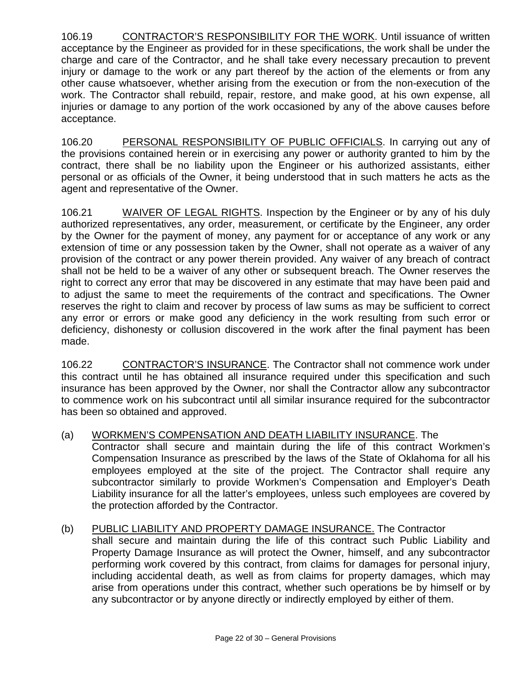106.19 CONTRACTOR'S RESPONSIBILITY FOR THE WORK. Until issuance of written acceptance by the Engineer as provided for in these specifications, the work shall be under the charge and care of the Contractor, and he shall take every necessary precaution to prevent injury or damage to the work or any part thereof by the action of the elements or from any other cause whatsoever, whether arising from the execution or from the non-execution of the work. The Contractor shall rebuild, repair, restore, and make good, at his own expense, all injuries or damage to any portion of the work occasioned by any of the above causes before acceptance.

106.20 PERSONAL RESPONSIBILITY OF PUBLIC OFFICIALS. In carrying out any of the provisions contained herein or in exercising any power or authority granted to him by the contract, there shall be no liability upon the Engineer or his authorized assistants, either personal or as officials of the Owner, it being understood that in such matters he acts as the agent and representative of the Owner.

106.21 WAIVER OF LEGAL RIGHTS. Inspection by the Engineer or by any of his duly authorized representatives, any order, measurement, or certificate by the Engineer, any order by the Owner for the payment of money, any payment for or acceptance of any work or any extension of time or any possession taken by the Owner, shall not operate as a waiver of any provision of the contract or any power therein provided. Any waiver of any breach of contract shall not be held to be a waiver of any other or subsequent breach. The Owner reserves the right to correct any error that may be discovered in any estimate that may have been paid and to adjust the same to meet the requirements of the contract and specifications. The Owner reserves the right to claim and recover by process of law sums as may be sufficient to correct any error or errors or make good any deficiency in the work resulting from such error or deficiency, dishonesty or collusion discovered in the work after the final payment has been made.

106.22 CONTRACTOR'S INSURANCE. The Contractor shall not commence work under this contract until he has obtained all insurance required under this specification and such insurance has been approved by the Owner, nor shall the Contractor allow any subcontractor to commence work on his subcontract until all similar insurance required for the subcontractor has been so obtained and approved.

#### (a) WORKMEN'S COMPENSATION AND DEATH LIABILITY INSURANCE . The

Contractor shall secure and maintain during the life of this contract Workmen's Compensation Insurance as prescribed by the laws of the State of Oklahoma for all his employees employed at the site of the project. The Contractor shall require any subcontractor similarly to provide Workmen's Compensation and Employer's Death Liability insurance for all the latter's employees, unless such employees are covered by the protection afforded by the Contractor.

#### (b) PUBLIC LIABILITY AND PROPERTY DAMAGE INSURANCE. The Contractor shall secure and maintain during the life of this contract such Public Liability and Property Damage Insurance as will protect the Owner, himself, and any subcontractor performing work covered by this contract, from claims for damages for personal injury, including accidental death, as well as from claims for property damages, which may arise from operations under this contract, whether such operations be by himself or by

any subcontractor or by anyone directly or indirectly employed by either of them.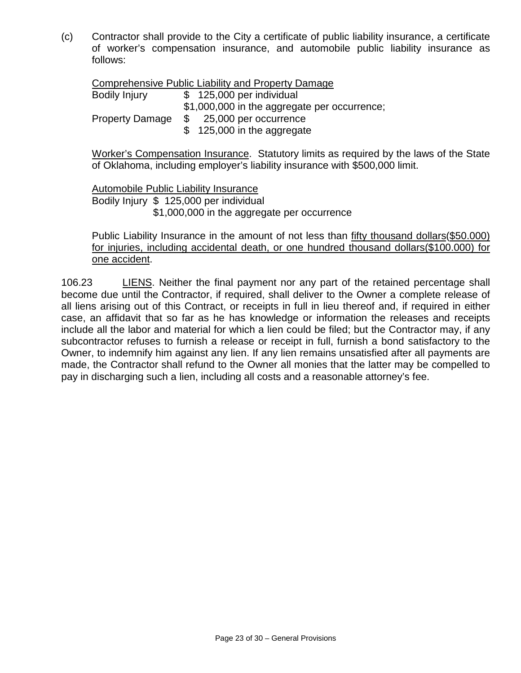(c) Contractor shall provide to the City a certificate of public liability insurance, a certificate of worker's compensation insurance, and automobile public liability insurance as follows:

Comprehensive Public Liability and Property Damage

Bodily Injury \$ 125,000 per individual \$1,000,000 in the aggregate per occurrence; Property Damage \$ 25,000 per occurrence \$ 125,000 in the aggregate

Worker's Compensation Insurance. Statutory limits as required by the laws of the State of Oklahoma, including employer's liability insurance with \$500,000 limit.

Automobile Public Liability Insurance

Bodily Injury \$ 125,000 per individual \$1,000,000 in the aggregate per occurrence

Public Liability Insurance in the amount of not less than fifty thousand dollars(\$50.000) for injuries, including accidental death, or one hundred thousand dollars(\$100.000) for one accident.

106.23 LIENS. Neither the final payment nor any part of the retained percentage shall become due until the Contractor, if required, shall deliver to the Owner a complete release of all liens arising out of this Contract, or receipts in full in lieu thereof and, if required in either case, an affidavit that so far as he has knowledge or information the releases and receipts include all the labor and material for which a lien could be filed; but the Contractor may, if any subcontractor refuses to furnish a release or receipt in full, furnish a bond satisfactory to the Owner, to indemnify him against any lien. If any lien remains unsatisfied after all payments are made, the Contractor shall refund to the Owner all monies that the latter may be compelled to pay in discharging such a lien, including all costs and a reasonable attorney's fee.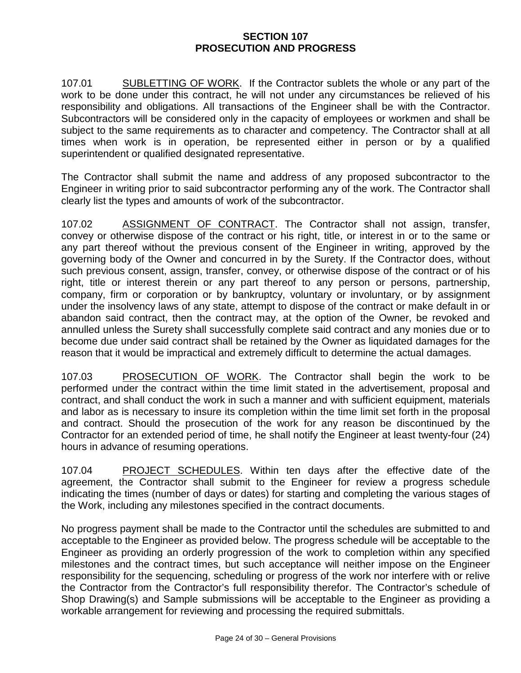## **SECTION 107 PROSECUTION AND PROGRESS**

107.01 SUBLETTING OF WORK. If the Contractor sublets the whole or any part of the work to be done under this contract, he will not under any circumstances be relieved of his responsibility and obligations. All transactions of the Engineer shall be with the Contractor. Subcontractors will be considered only in the capacity of employees or workmen and shall be subject to the same requirements as to character and competency. The Contractor shall at all times when work is in operation, be represented either in person or by a qualified superintendent or qualified designated representative.

The Contractor shall submit the name and address of any proposed subcontractor to the Engineer in writing prior to said subcontractor performing any of the work. The Contractor shall clearly list the types and amounts of work of the subcontractor.

107.02 ASSIGNMENT OF CONTRACT. The Contractor shall not assign, transfer, convey or otherwise dispose of the contract or his right, title, or interest in or to the same or any part thereof without the previous consent of the Engineer in writing, approved by the governing body of the Owner and concurred in by the Surety. If the Contractor does, without such previous consent, assign, transfer, convey, or otherwise dispose of the contract or of his right, title or interest therein or any part thereof to any person or persons, partnership, company, firm or corporation or by bankruptcy, voluntary or involuntary, or by assignment under the insolvency laws of any state, attempt to dispose of the contract or make default in or abandon said contract, then the contract may, at the option of the Owner, be revoked and annulled unless the Surety shall successfully complete said contract and any monies due or to become due under said contract shall be retained by the Owner as liquidated damages for the reason that it would be impractical and extremely difficult to determine the actual damages.

107.03 PROSECUTION OF WORK. The Contractor shall begin the work to be performed under the contract within the time limit stated in the advertisement, proposal and contract, and shall conduct the work in such a manner and with sufficient equipment, materials and labor as is necessary to insure its completion within the time limit set forth in the proposal and contract. Should the prosecution of the work for any reason be discontinued by the Contractor for an extended period of time, he shall notify the Engineer at least twenty-four (24) hours in advance of resuming operations.

107.04 PROJECT SCHEDULES. Within ten days after the effective date of the agreement, the Contractor shall submit to the Engineer for review a progress schedule indicating the times (number of days or dates) for starting and completing the various stages of the Work, including any milestones specified in the contract documents.

No progress payment shall be made to the Contractor until the schedules are submitted to and acceptable to the Engineer as provided below. The progress schedule will be acceptable to the Engineer as providing an orderly progression of the work to completion within any specified milestones and the contract times, but such acceptance will neither impose on the Engineer responsibility for the sequencing, scheduling or progress of the work nor interfere with or relive the Contractor from the Contractor's full responsibility therefor. The Contractor's schedule of Shop Drawing(s) and Sample submissions will be acceptable to the Engineer as providing a workable arrangement for reviewing and processing the required submittals.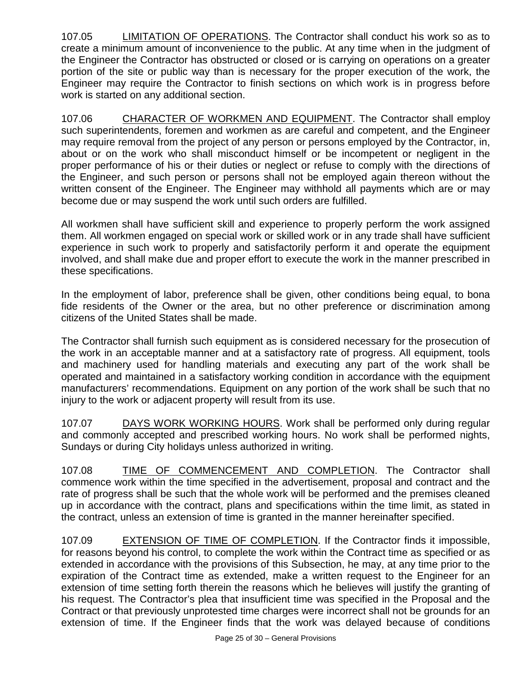107.05 LIMITATION OF OPERATIONS. The Contractor shall conduct his work so as to create a minimum amount of inconvenience to the public. At any time when in the judgment of the Engineer the Contractor has obstructed or closed or is carrying on operations on a greater portion of the site or public way than is necessary for the proper execution of the work, the Engineer may require the Contractor to finish sections on which work is in progress before work is started on any additional section.

107.06 CHARACTER OF WORKMEN AND EQUIPMENT. The Contractor shall employ such superintendents, foremen and workmen as are careful and competent, and the Engineer may require removal from the project of any person or persons employed by the Contractor, in, about or on the work who shall misconduct himself or be incompetent or negligent in the proper performance of his or their duties or neglect or refuse to comply with the directions of the Engineer, and such person or persons shall not be employed again thereon without the written consent of the Engineer. The Engineer may withhold all payments which are or may become due or may suspend the work until such orders are fulfilled.

All workmen shall have sufficient skill and experience to properly perform the work assigned them. All workmen engaged on special work or skilled work or in any trade shall have sufficient experience in such work to properly and satisfactorily perform it and operate the equipment involved, and shall make due and proper effort to execute the work in the manner prescribed in these specifications.

In the employment of labor, preference shall be given, other conditions being equal, to bona fide residents of the Owner or the area, but no other preference or discrimination among citizens of the United States shall be made.

The Contractor shall furnish such equipment as is considered necessary for the prosecution of the work in an acceptable manner and at a satisfactory rate of progress. All equipment, tools and machinery used for handling materials and executing any part of the work shall be operated and maintained in a satisfactory working condition in accordance with the equipment manufacturers' recommendations. Equipment on any portion of the work shall be such that no injury to the work or adjacent property will result from its use.

107.07 DAYS WORK WORKING HOURS. Work shall be performed only during regular and commonly accepted and prescribed working hours. No work shall be performed nights, Sundays or during City holidays unless authorized in writing.

107.08 TIME OF COMMENCEMENT AND COMPLETION. The Contractor shall commence work within the time specified in the advertisement, proposal and contract and the rate of progress shall be such that the whole work will be performed and the premises cleaned up in accordance with the contract, plans and specifications within the time limit, as stated in the contract, unless an extension of time is granted in the manner hereinafter specified.

107.09 EXTENSION OF TIME OF COMPLETION. If the Contractor finds it impossible, for reasons beyond his control, to complete the work within the Contract time as specified or as extended in accordance with the provisions of this Subsection, he may, at any time prior to the expiration of the Contract time as extended, make a written request to the Engineer for an extension of time setting forth therein the reasons which he believes will justify the granting of his request. The Contractor's plea that insufficient time was specified in the Proposal and the Contract or that previously unprotested time charges were incorrect shall not be grounds for an extension of time. If the Engineer finds that the work was delayed because of conditions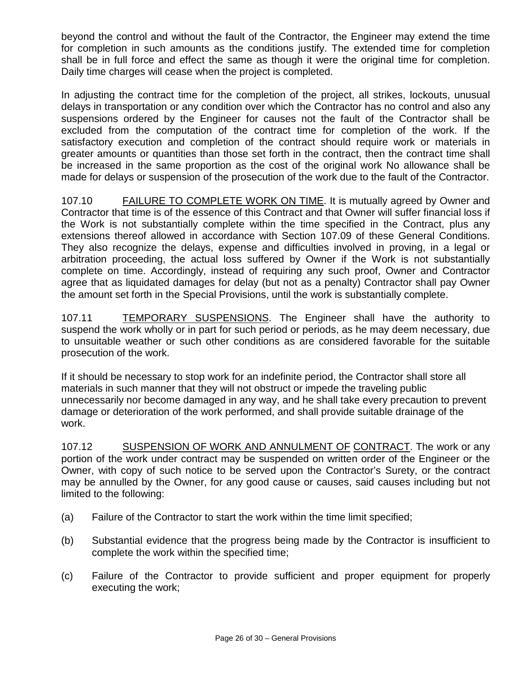beyond the control and without the fault of the Contractor, the Engineer may extend the time for completion in such amounts as the conditions justify. The extended time for completion shall be in full force and effect the same as though it were the original time for completion. Daily time charges will cease when the project is completed.

In adjusting the contract time for the completion of the project, all strikes, lockouts, unusual delays in transportation or any condition over which the Contractor has no control and also any suspensions ordered by the Engineer for causes not the fault of the Contractor shall be excluded from the computation of the contract time for completion of the work. If the satisfactory execution and completion of the contract should require work or materials in greater amounts or quantities than those set forth in the contract, then the contract time shall be increased in the same proportion as the cost of the original work No allowance shall be made for delays or suspension of the prosecution of the work due to the fault of the Contractor.

107.10 FAILURE TO COMPLETE WORK ON TIME. It is mutually agreed by Owner and Contractor that time is of the essence of this Contract and that Owner will suffer financial loss if the Work is not substantially complete within the time specified in the Contract, plus any extensions thereof allowed in accordance with Section 107.09 of these General Conditions. They also recognize the delays, expense and difficulties involved in proving, in a legal or arbitration proceeding, the actual loss suffered by Owner if the Work is not substantially complete on time. Accordingly, instead of requiring any such proof, Owner and Contractor agree that as liquidated damages for delay (but not as a penalty) Contractor shall pay Owner the amount set forth in the Special Provisions, until the work is substantially complete.

107.11 TEMPORARY SUSPENSIONS. The Engineer shall have the authority to suspend the work wholly or in part for such period or periods, as he may deem necessary, due to unsuitable weather or such other conditions as are considered favorable for the suitable prosecution of the work.

If it should be necessary to stop work for an indefinite period, the Contractor shall store all materials in such manner that they will not obstruct or impede the traveling public unnecessarily nor become damaged in any way, and he shall take every precaution to prevent damage or deterioration of the work performed, and shall provide suitable drainage of the work.

107.12 SUSPENSION OF WORK AND ANNULMENT OF CONTRACT. The work or any portion of the work under contract may be suspended on written order of the Engineer or the Owner, with copy of such notice to be served upon the Contractor's Surety, or the contract may be annulled by the Owner, for any good cause or causes, said causes including but not limited to the following:

- (a) Failure of the Contractor to start the work within the time limit specified;
- (b) Substantial evidence that the progress being made by the Contractor is insufficient to complete the work within the specified time;
- (c) Failure of the Contractor to provide sufficient and proper equipment for properly executing the work;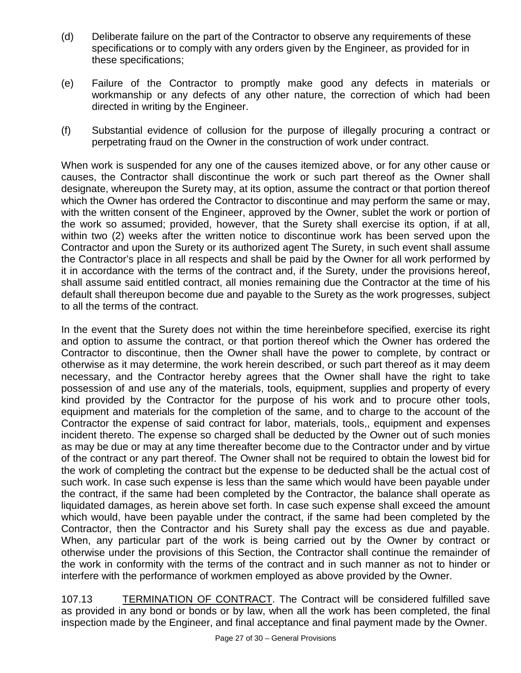- (d) Deliberate failure on the part of the Contractor to observe any requirements of these specifications or to comply with any orders given by the Engineer, as provided for in these specifications;
- (e) Failure of the Contractor to promptly make good any defects in materials or workmanship or any defects of any other nature, the correction of which had been directed in writing by the Engineer.
- (f) Substantial evidence of collusion for the purpose of illegally procuring a contract or perpetrating fraud on the Owner in the construction of work under contract.

When work is suspended for any one of the causes itemized above, or for any other cause or causes, the Contractor shall discontinue the work or such part thereof as the Owner shall designate, whereupon the Surety may, at its option, assume the contract or that portion thereof which the Owner has ordered the Contractor to discontinue and may perform the same or may, with the written consent of the Engineer, approved by the Owner, sublet the work or portion of the work so assumed; provided, however, that the Surety shall exercise its option, if at all, within two (2) weeks after the written notice to discontinue work has been served upon the Contractor and upon the Surety or its authorized agent The Surety, in such event shall assume the Contractor's place in all respects and shall be paid by the Owner for all work performed by it in accordance with the terms of the contract and, if the Surety, under the provisions hereof, shall assume said entitled contract, all monies remaining due the Contractor at the time of his default shall thereupon become due and payable to the Surety as the work progresses, subject to all the terms of the contract.

In the event that the Surety does not within the time hereinbefore specified, exercise its right and option to assume the contract, or that portion thereof which the Owner has ordered the Contractor to discontinue, then the Owner shall have the power to complete, by contract or otherwise as it may determine, the work herein described, or such part thereof as it may deem necessary, and the Contractor hereby agrees that the Owner shall have the right to take possession of and use any of the materials, tools, equipment, supplies and property of every kind provided by the Contractor for the purpose of his work and to procure other tools, equipment and materials for the completion of the same, and to charge to the account of the Contractor the expense of said contract for labor, materials, tools,, equipment and expenses incident thereto. The expense so charged shall be deducted by the Owner out of such monies as may be due or may at any time thereafter become due to the Contractor under and by virtue of the contract or any part thereof. The Owner shall not be required to obtain the lowest bid for the work of completing the contract but the expense to be deducted shall be the actual cost of such work. In case such expense is less than the same which would have been payable under the contract, if the same had been completed by the Contractor, the balance shall operate as liquidated damages, as herein above set forth. In case such expense shall exceed the amount which would, have been payable under the contract, if the same had been completed by the Contractor, then the Contractor and his Surety shall pay the excess as due and payable. When, any particular part of the work is being carried out by the Owner by contract or otherwise under the provisions of this Section, the Contractor shall continue the remainder of the work in conformity with the terms of the contract and in such manner as not to hinder or interfere with the performance of workmen employed as above provided by the Owner.

107.13 TERMINATION OF CONTRACT. The Contract will be considered fulfilled save as provided in any bond or bonds or by law, when all the work has been completed, the final inspection made by the Engineer, and final acceptance and final payment made by the Owner.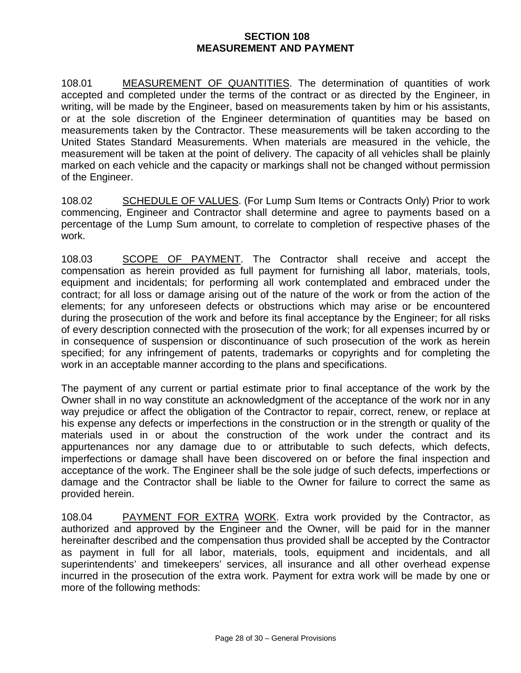### **SECTION 108 MEASUREMENT AND PAYMENT**

108.01 MEASUREMENT OF QUANTITIES. The determination of quantities of work accepted and completed under the terms of the contract or as directed by the Engineer, in writing, will be made by the Engineer, based on measurements taken by him or his assistants, or at the sole discretion of the Engineer determination of quantities may be based on measurements taken by the Contractor. These measurements will be taken according to the United States Standard Measurements. When materials are measured in the vehicle, the measurement will be taken at the point of delivery. The capacity of all vehicles shall be plainly marked on each vehicle and the capacity or markings shall not be changed without permission of the Engineer.

108.02 SCHEDULE OF VALUES. (For Lump Sum Items or Contracts Only) Prior to work commencing, Engineer and Contractor shall determine and agree to payments based on a percentage of the Lump Sum amount, to correlate to completion of respective phases of the work.

108.03 SCOPE OF PAYMENT. The Contractor shall receive and accept the compensation as herein provided as full payment for furnishing all labor, materials, tools, equipment and incidentals; for performing all work contemplated and embraced under the contract; for all loss or damage arising out of the nature of the work or from the action of the elements; for any unforeseen defects or obstructions which may arise or be encountered during the prosecution of the work and before its final acceptance by the Engineer; for all risks of every description connected with the prosecution of the work; for all expenses incurred by or in consequence of suspension or discontinuance of such prosecution of the work as herein specified; for any infringement of patents, trademarks or copyrights and for completing the work in an acceptable manner according to the plans and specifications.

The payment of any current or partial estimate prior to final acceptance of the work by the Owner shall in no way constitute an acknowledgment of the acceptance of the work nor in any way prejudice or affect the obligation of the Contractor to repair, correct, renew, or replace at his expense any defects or imperfections in the construction or in the strength or quality of the materials used in or about the construction of the work under the contract and its appurtenances nor any damage due to or attributable to such defects, which defects, imperfections or damage shall have been discovered on or before the final inspection and acceptance of the work. The Engineer shall be the sole judge of such defects, imperfections or damage and the Contractor shall be liable to the Owner for failure to correct the same as provided herein.

108.04 PAYMENT FOR EXTRA WORK. Extra work provided by the Contractor, as authorized and approved by the Engineer and the Owner, will be paid for in the manner hereinafter described and the compensation thus provided shall be accepted by the Contractor as payment in full for all labor, materials, tools, equipment and incidentals, and all superintendents' and timekeepers' services, all insurance and all other overhead expense incurred in the prosecution of the extra work. Payment for extra work will be made by one or more of the following methods: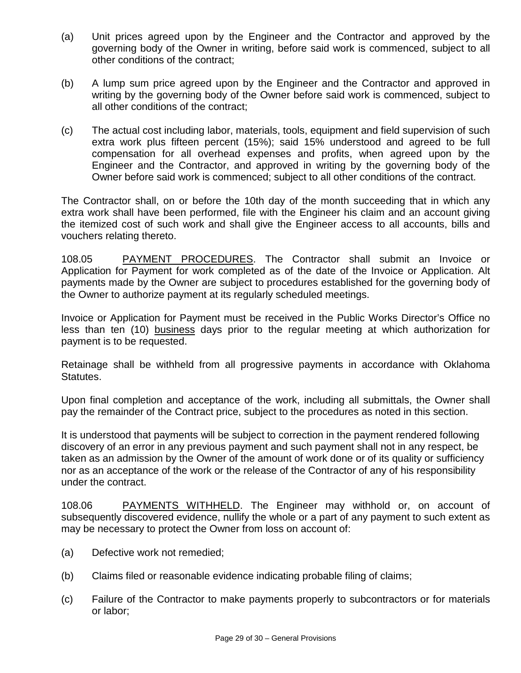- (a) Unit prices agreed upon by the Engineer and the Contractor and approved by the governing body of the Owner in writing, before said work is commenced, subject to all other conditions of the contract;
- (b) A lump sum price agreed upon by the Engineer and the Contractor and approved in writing by the governing body of the Owner before said work is commenced, subject to all other conditions of the contract;
- (c) The actual cost including labor, materials, tools, equipment and field supervision of such extra work plus fifteen percent (15%); said 15% understood and agreed to be full compensation for all overhead expenses and profits, when agreed upon by the Engineer and the Contractor, and approved in writing by the governing body of the Owner before said work is commenced; subject to all other conditions of the contract.

The Contractor shall, on or before the 10th day of the month succeeding that in which any extra work shall have been performed, file with the Engineer his claim and an account giving the itemized cost of such work and shall give the Engineer access to all accounts, bills and vouchers relating thereto.

108.05 PAYMENT PROCEDURES. The Contractor shall submit an Invoice or Application for Payment for work completed as of the date of the Invoice or Application. Alt payments made by the Owner are subject to procedures established for the governing body of the Owner to authorize payment at its regularly scheduled meetings.

Invoice or Application for Payment must be received in the Public Works Director's Office no less than ten (10) business days prior to the regular meeting at which authorization for payment is to be requested.

Retainage shall be withheld from all progressive payments in accordance with Oklahoma Statutes.

Upon final completion and acceptance of the work, including all submittals, the Owner shall pay the remainder of the Contract price, subject to the procedures as noted in this section.

It is understood that payments will be subject to correction in the payment rendered following discovery of an error in any previous payment and such payment shall not in any respect, be taken as an admission by the Owner of the amount of work done or of its quality or sufficiency nor as an acceptance of the work or the release of the Contractor of any of his responsibility under the contract.

108.06 PAYMENTS WITHHELD. The Engineer may withhold or, on account of subsequently discovered evidence, nullify the whole or a part of any payment to such extent as may be necessary to protect the Owner from loss on account of:

- (a) Defective work not remedied;
- (b) Claims filed or reasonable evidence indicating probable filing of claims;
- (c) Failure of the Contractor to make payments properly to subcontractors or for materials or labor;